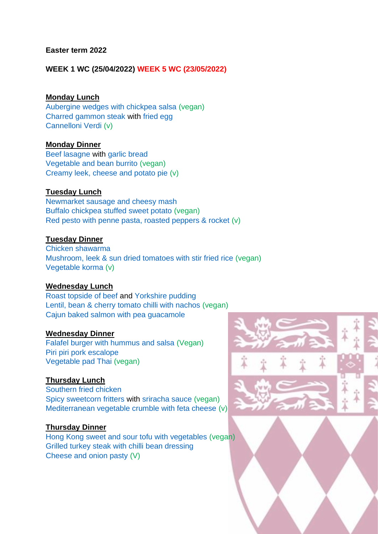#### **Easter term 2022**

**WEEK 1 WC (25/04/2022) WEEK 5 WC (23/05/2022)** 

### **Monday Lunch**

[Aubergine wedges with chickpea salsa](http://fitzwilliamcollegebuttery.mysaffronportal.com/Products/R02003) (vegan) [Charred gammon steak](https://fitzwilliamcollegebuttery.mysaffronportal.com/Products/R02279) with [fried egg](https://fitzwilliamcollegebuttery.mysaffronportal.com/Products/R00056) [Cannelloni Verdi](https://fitzwilliamcollegebuttery.mysaffronportal.com/Products/R00084) (v)

#### **Monday Dinner**

[Beef lasagne](http://fitzwilliamcollegebuttery.mysaffronportal.com/Products/R00508) with [garlic bread](https://fitzwilliamcollegebuttery.mysaffronportal.com/Products/R02260) [Vegetable and bean burrito](https://fitzwilliamcollegebuttery.mysaffronportal.com/Products/R00345) (vegan) [Creamy leek, cheese and potato pie](file://///ad.fitz.cam.ac.uk/Fitz/Shared/Catering/Menus/College/2021%202022/Lent%202021/CreBeetroot%20and%20red%20onion%20tart%20tatin%20(vegan)%20with%20goats%20cheese%20(v)%0dRoast%20chicken%20and%20stuffing%0d%0damy%20leek,%20potato%20and%20cheese%20pie) (v)

#### **Tuesday Lunch**

[Newmarket sausage and cheesy mash](https://fitzwilliamcollegebuttery.mysaffronportal.com/Products/R02268) [Buffalo chickpea stuffed sweet potato](https://fitzwilliamcollegebuttery.mysaffronportal.com/Products/R01956) (vegan) [Red pesto with penne pasta, roasted peppers & rocket](https://fitzwilliamcollegebuttery.mysaffronportal.com/Products/R01196) (v)

#### **Tuesday Dinner**

[Chicken shawarma](https://fitzwilliamcollegebuttery.mysaffronportal.com/Products/R02283) [Mushroom, leek & sun dried tomatoes with stir fried rice](https://fitzwilliamcollegebuttery.mysaffronportal.com/Products/R00098) (vegan) [Vegetable korma](https://fitzwilliamcollegebuttery.mysaffronportal.com/Products/R01366) (v)

#### **Wednesday Lunch**

[Roast topside of beef](https://fitzwilliamcollegebuttery.mysaffronportal.com/Products/R00109) and [Yorkshire pudding](https://fitzwilliamcollegebuttery.mysaffronportal.com/Products/R00337) [Lentil, bean & cherry tomato chilli with nachos](https://fitzwilliamcollegebuttery.mysaffronportal.com/Products/R01706) (vegan) [Cajun baked salmon with pea guacamole](https://fitzwilliamcollegebuttery.mysaffronportal.com/Products/R01802)

#### **Wednesday Dinner**

[Falafel burger with hummus and salsa](http://fitzwilliamcollegebuttery.mysaffronportal.com/Products/R00789) (Vegan) [Piri piri pork e](http://fitzwilliamcollegebuttery.mysaffronportal.com/Products/R01224)scalope [Vegetable pad Thai](https://fitzwilliamcollegebuttery.mysaffronportal.com/Products/R02081) (vegan)

#### **Thursday Lunch**

[Southern fried chicken](https://fitzwilliamcollegebuttery.mysaffronportal.com/Products/R00243) [Spicy sweetcorn fritters](https://fitzwilliamcollegebuttery.mysaffronportal.com/Products/R00820) with [sriracha sauce](https://fitzwilliamcollegebuttery.mysaffronportal.com/Products/R02275) (vegan) [Mediterranean vegetable crumble with feta cheese](https://fitzwilliamcollegebuttery.mysaffronportal.com/Products/R00936) (v)

#### **Thursday Dinner**

[Hong Kong sweet and sour tofu with vegetables](https://fitzwilliamcollegebuttery.mysaffronportal.com/Products/R02276) (vegan) [Grilled turkey steak with chilli](https://fitzwilliamcollegebuttery.mysaffronportal.com/Products/R02248) bean dressing [Cheese and onion pasty](http://fitzwilliamcollegebuttery.mysaffronportal.com/Products/R00035) (V)

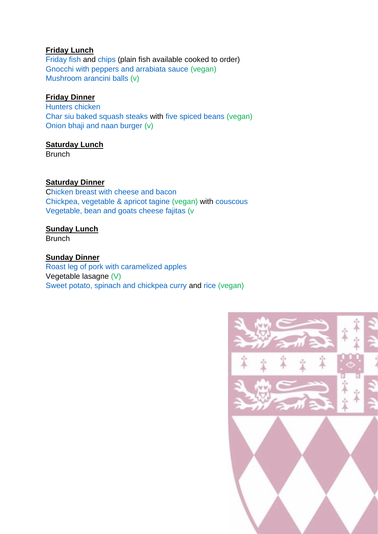[Friday fish](http://fitzwilliamcollegebuttery.mysaffronportal.com/Products/R00473) and [chips](http://fitzwilliamcollegebuttery.mysaffronportal.com/Products/R01033) (plain fish available cooked to order) [Gnocchi with peppers and arrabiata sauce](https://fitzwilliamcollegebuttery.mysaffronportal.com/Products/R00924) (vegan) [Mushroom arancini balls](https://fitzwilliamcollegebuttery.mysaffronportal.com/Products/R01985) (v)

# **Friday Dinner**

[Hunters chicken](https://fitzwilliamcollegebuttery.mysaffronportal.com/Products/R01934) [Char siu baked squash steaks](http://fitzwilliamcollegebuttery.mysaffronportal.com/Products/R02085) with [five spiced beans](http://fitzwilliamcollegebuttery.mysaffronportal.com/Products/R02196) (vegan) [Onion bhaji and naan burger](https://fitzwilliamcollegebuttery.mysaffronportal.com/Products/R02227) (v)

# **Saturday Lunch**

**Brunch** 

# **Saturday Dinner**

[Chicken breast with](https://fitzwilliamcollegebuttery.mysaffronportal.com/Products/R02250) cheese and bacon [Chickpea, vegetable & apricot tagine](https://fitzwilliamcollegebuttery.mysaffronportal.com/Products/R00097) (vegan) with [couscous](https://fitzwilliamcollegebuttery.mysaffronportal.com/Products/R02272) [Vegetable, bean and goats cheese fajitas](http://fitzwilliamcollegebuttery.mysaffronportal.com/Products/R00955) (v

# **Sunday Lunch**

Brunch

# **Sunday Dinner**

[Roast leg of pork with caramelized apples](https://fitzwilliamcollegebuttery.mysaffronportal.com/Products/R00488) Vegetable lasagne (V) [Sweet potato, spinach and chickpea curry](https://fitzwilliamcollegebuttery.mysaffronportal.com/Products/R02255) and [rice](https://fitzwilliamcollegebuttery.mysaffronportal.com/Products/R01385) (vegan)

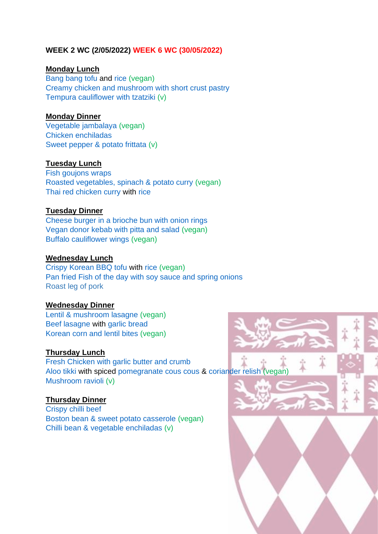# **WEEK 2 WC (2/05/2022) WEEK 6 WC (30/05/2022)**

#### **Monday Lunch**

[Bang bang tofu](https://fitzwilliamcollegebuttery.mysaffronportal.com/Products/R02253) and [rice](https://fitzwilliamcollegebuttery.mysaffronportal.com/Products/R01385) (vegan) [Creamy chicken and mushroom with short crust pastry](https://fitzwilliamcollegebuttery.mysaffronportal.com/Products/R00495) [Tempura cauliflower with tzatziki](https://fitzwilliamcollegebuttery.mysaffronportal.com/Products/R00106) (v)

### **Monday Dinner**

[Vegetable jambalaya](https://fitzwilliamcollegebuttery.mysaffronportal.com/Products/R00350) (vegan) [Chicken enchiladas](https://fitzwilliamcollegebuttery.mysaffronportal.com/Products/R00252) [Sweet pepper & potato frittata](https://fitzwilliamcollegebuttery.mysaffronportal.com/Products/R00115) (v)

### **Tuesday Lunch**

[Fish goujons wraps](https://fitzwilliamcollegebuttery.mysaffronportal.com/Products/R02244) [Roasted vegetables, spinach & potato curry](https://fitzwilliamcollegebuttery.mysaffronportal.com/Products/R02262) (vegan) [Thai red chicken curry](https://fitzwilliamcollegebuttery.mysaffronportal.com/Products/R02228) with [rice](https://fitzwilliamcollegebuttery.mysaffronportal.com/Products/R01385)

#### **Tuesday Dinner**

[Cheese burger in a brioche bun with onion rings](https://fitzwilliamcollegebuttery.mysaffronportal.com/Products/R01443) [Vegan donor kebab with pitta and salad](https://fitzwilliamcollegebuttery.mysaffronportal.com/Products/R02247) (vegan) [Buffalo cauliflower wings](https://fitzwilliamcollegebuttery.mysaffronportal.com/Products/R01726) (vegan)

#### **Wednesday Lunch**

[Crispy Korean BBQ tofu](https://fitzwilliamcollegebuttery.mysaffronportal.com/Products/R02277) with [rice](https://fitzwilliamcollegebuttery.mysaffronportal.com/Products/R01385) (vegan) Pan fried Fish of the day [with soy sauce and spring onions](https://fitzwilliamcollegebuttery.mysaffronportal.com/Products/R00964) Roast leg of pork

#### **Wednesday Dinner**

[Lentil & mushroom lasagne](https://fitzwilliamcollegebuttery.mysaffronportal.com/Products/R02246) (vegan) [Beef lasagne](http://fitzwilliamcollegebuttery.mysaffronportal.com/Products/R00508) with [garlic bread](https://fitzwilliamcollegebuttery.mysaffronportal.com/Products/R02260) [Korean corn and lentil bites](https://fitzwilliamcollegebuttery.mysaffronportal.com/Products/R02236) (vegan)

### **Thursday Lunch**

[Fresh Chicken w](http://fitzwilliamcollegebuttery.mysaffronportal.com/Products/R01922)ith garlic butter and crumb [Aloo tikki](https://fitzwilliamcollegebuttery.mysaffronportal.com/Products/R02290) with spiced [pomegranate cous cous](https://fitzwilliamcollegebuttery.mysaffronportal.com/Products/R02291) & [coriander relish](https://fitzwilliamcollegebuttery.mysaffronportal.com/Products/R02292) (vegan) [Mushroom ravioli](https://fitzwilliamcollegebuttery.mysaffronportal.com/Products/R00172) (v)

# **Thursday Dinner**

[Crispy chilli beef](https://fitzwilliamcollegebuttery.mysaffronportal.com/Products/R00314) [Boston bean & sweet potato casserole](https://fitzwilliamcollegebuttery.mysaffronportal.com/Products/R0092) (vegan) [Chilli bean & vegetable enchiladas](https://fitzwilliamcollegebuttery.mysaffronportal.com/Products/R00120) (v)

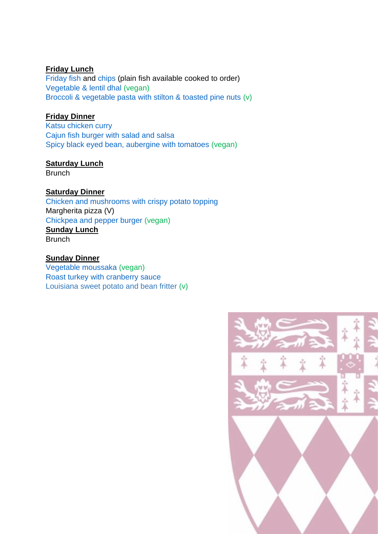[Friday fish](http://fitzwilliamcollegebuttery.mysaffronportal.com/Products/R00473) and [chips](http://fitzwilliamcollegebuttery.mysaffronportal.com/Products/R01033) (plain fish available cooked to order) [Vegetable & lentil dhal](https://fitzwilliamcollegebuttery.mysaffronportal.com/Products/R02243) (vegan) [Broccoli & vegetable pasta with stilton & toasted pine nuts](https://fitzwilliamcollegebuttery.mysaffronportal.com/Products/R02258) (v)

# **Friday Dinner**

[Katsu chicken curry](https://fitzwilliamcollegebuttery.mysaffronportal.com/Products/R01945) [Cajun fish burger with salad and salsa](https://fitzwilliamcollegebuttery.mysaffronportal.com/Products/R02278) [Spicy black eyed bean, aubergine with tomatoes](https://fitzwilliamcollegebuttery.mysaffronportal.com/Products/R00362) (vegan)

# **Saturday Lunch**

**Brunch** 

# **Saturday Dinner**

[Chicken and mushrooms with crispy potato topping](https://fitzwilliamcollegebuttery.mysaffronportal.com/Products/R02254) Margherita pizza (V) [Chickpea and pepper burger](https://fitzwilliamcollegebuttery.mysaffronportal.com/Products/R02257) (vegan) **Sunday Lunch Brunch** 

# **Sunday Dinner**

Vegetable [moussaka](https://fitzwilliamcollegebuttery.mysaffronportal.com/Products/R01699) (vegan) [Roast turkey with cranberry sauce](https://fitzwilliamcollegebuttery.mysaffronportal.com/Products/R01964) Louisiana sweet potato and bean fritter (v)

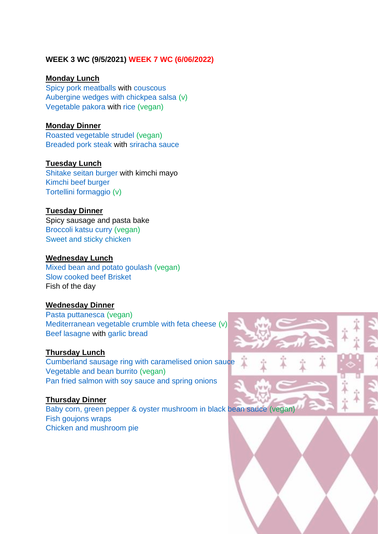# **WEEK 3 WC (9/5/2021) WEEK 7 WC (6/06/2022)**

#### **Monday Lunch**

[Spicy pork meatballs](https://fitzwilliamcollegebuttery.mysaffronportal.com/Products/R02271) with [couscous](https://fitzwilliamcollegebuttery.mysaffronportal.com/Products/R02272) [Aubergine wedges with chickpea salsa](http://fitzwilliamcollegebuttery.mysaffronportal.com/Products/R02003) (v) [Vegetable pakora](http://fitzwilliamcollegebuttery.mysaffronportal.com/Products/R01356) with [rice](http://fitzwilliamcollegebuttery.mysaffronportal.com/Products/R01385) (vegan)

#### **Monday Dinner**

[Roasted vegetable strudel](https://fitzwilliamcollegebuttery.mysaffronportal.com/Products/R00934) (vegan) [Breaded pork steak](https://fitzwilliamcollegebuttery.mysaffronportal.com/Products/R00762https:/fitzwilliamcollegebuttery.mysaffronportal.com/Products/R00762) with [sriracha sauce](https://fitzwilliamcollegebuttery.mysaffronportal.com/Products/R02275)

### **Tuesday Lunch**

[Shitake seitan burger](https://fitzwilliamcollegebuttery.mysaffronportal.com/Products/R02286) with kimchi mayo [Kimchi beef burger](https://fitzwilliamcollegebuttery.mysaffronportal.com/Products/R02289) [Tortellini formaggio](https://fitzwilliamcollegebuttery.mysaffronportal.com/Products/R00039) (v)

#### **Tuesday Dinner**

Spicy sausage and pasta bake [Broccoli katsu curry](https://fitzwilliamcollegebuttery.mysaffronportal.com/Products/R02068) (vegan) Sweet and sticky chicken

#### **Wednesday Lunch**

[Mixed bean and potato goulash](https://fitzwilliamcollegebuttery.mysaffronportal.com/Products/R00267) (vegan) [Slow cooked beef Brisket](https://fitzwilliamcollegebuttery.mysaffronportal.com/Products/R00016) Fish of the day

### **Wednesday Dinner**

[Pasta puttanesca](https://fitzwilliamcollegebuttery.mysaffronportal.com/Products/R01734) (vegan) [Mediterranean vegetable crumble with feta cheese](https://fitzwilliamcollegebuttery.mysaffronportal.com/Products/R00936) (v) [Beef lasagne](http://fitzwilliamcollegebuttery.mysaffronportal.com/Products/R00508) with [garlic bread](https://fitzwilliamcollegebuttery.mysaffronportal.com/Products/R02260)

### **Thursday Lunch**

[Cumberland sausage ring with caramelised onion sauce](https://fitzwilliamcollegebuttery.mysaffronportal.com/Products/R00086) [Vegetable and bean burrito](https://fitzwilliamcollegebuttery.mysaffronportal.com/Products/R00345) (vegan) [Pan fried salmon with soy sauce and spring onions](https://fitzwilliamcollegebuttery.mysaffronportal.com/Products/R00964)

# **Thursday Dinner**

[Baby corn, green pepper & oyster mushroom in black bean sauce](https://fitzwilliamcollegebuttery.mysaffronportal.com/Products/R00105) (vegan) [Fish goujons wraps](https://fitzwilliamcollegebuttery.mysaffronportal.com/Products/R02244) Chicken and mushroom pie



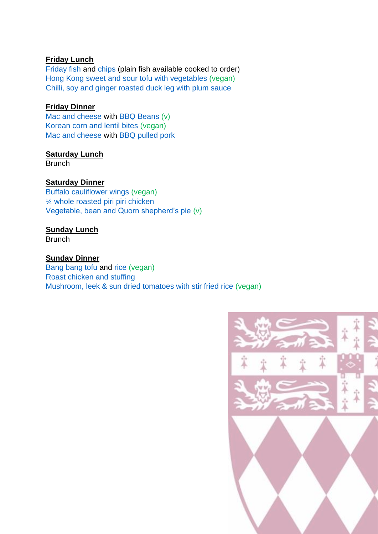[Friday fish](http://fitzwilliamcollegebuttery.mysaffronportal.com/Products/R00473) and [chips](http://fitzwilliamcollegebuttery.mysaffronportal.com/Products/R01033) (plain fish available cooked to order) [Hong Kong sweet and sour tofu with vegetables](https://fitzwilliamcollegebuttery.mysaffronportal.com/Products/R02276) (vegan) [Chilli, soy and ginger roasted duck leg with plum sauce](https://fitzwilliamcollegebuttery.mysaffronportal.com/Products/R00542)

### **Friday Dinner**

[Mac and cheese](https://fitzwilliamcollegebuttery.mysaffronportal.com/Products/R01656) with [BBQ Beans](https://fitzwilliamcollegebuttery.mysaffronportal.com/Products/R00609) (v) [Korean corn and lentil bites](https://fitzwilliamcollegebuttery.mysaffronportal.com/Products/R02236) (vegan) [Mac and cheese](https://fitzwilliamcollegebuttery.mysaffronportal.com/Products/R01656) with [BBQ pulled pork](https://fitzwilliamcollegebuttery.mysaffronportal.com/Products/R02294)

# **Saturday Lunch**

**Brunch** 

# **Saturday Dinner**

[Buffalo cauliflower wings](https://fitzwilliamcollegebuttery.mysaffronportal.com/Products/R01726) (vegan) 1/4 whole roasted piri piri chicken [Vegetable, bean and Quorn shepherd's pie](http://fitzwilliamcollegebuttery.mysaffronportal.com/Products/R00020) (v)

### **Sunday Lunch**

**Brunch** 

### **Sunday Dinner**

[Bang bang tofu](https://fitzwilliamcollegebuttery.mysaffronportal.com/Products/R02253) and [rice](https://fitzwilliamcollegebuttery.mysaffronportal.com/Products/R01385) (vegan) [Roast chicken and stuffing](https://fitzwilliamcollegebuttery.mysaffronportal.com/Products/R01118) [Mushroom, leek & sun dried tomatoes with stir fried rice](https://fitzwilliamcollegebuttery.mysaffronportal.com/Products/R00098) (vegan)

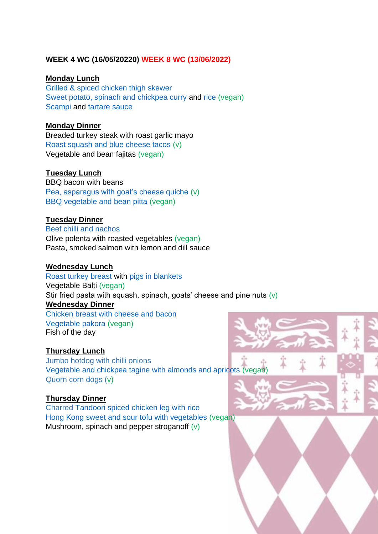# **WEEK 4 WC (16/05/20220) WEEK 8 WC (13/06/2022)**

#### **Monday Lunch**

[Grilled](https://fitzwilliamcollegebuttery.mysaffronportal.com/Products/R02250) & spiced chicken thigh skewer [Sweet potato, spinach and chickpea curry](https://fitzwilliamcollegebuttery.mysaffronportal.com/Products/R02255) and [rice](https://fitzwilliamcollegebuttery.mysaffronportal.com/Products/R01385) (vegan) [Scampi](https://fitzwilliamcollegebuttery.mysaffronportal.com/Products/R00064) and [tartare sauce](https://fitzwilliamcollegebuttery.mysaffronportal.com/Products/R01094)

#### **Monday Dinner**

Breaded turkey steak with roast garlic mayo [Roast squash and blue cheese tacos](https://fitzwilliamcollegebuttery.mysaffronportal.com/Products/R00834) (v) Vegetable and bean fajitas (vegan)

#### **Tuesday Lunch**

BBQ bacon with beans [Pea, asparagus with goat's cheese quiche](http://fitzwilliamcollegebuttery.mysaffronportal.com/Products/R01935) (v) [BBQ vegetable](http://fitzwilliamcollegebuttery.mysaffronportal.com/Products/R01961) and bean pitta (vegan)

### **Tuesday Dinner**

[Beef chilli and nachos](https://fitzwilliamcollegebuttery.mysaffronportal.com/Products/R01448) Olive polenta with roasted vegetables (vegan) Pasta, smoked salmon with lemon and dill sauce

#### **Wednesday Lunch**

[Roast turkey breast](https://fitzwilliamcollegebuttery.mysaffronportal.com/Products/R00479) with [pigs in blankets](https://fitzwilliamcollegebuttery.mysaffronportal.com/Products/R00643) Vegetable Balti (vegan) Stir fried pasta with squash, spinach, goats' cheese and pine nuts  $(v)$ **Wednesday Dinner**

[Chicken breast with](https://fitzwilliamcollegebuttery.mysaffronportal.com/Products/R02250) cheese and bacon [Vegetable pakora](http://fitzwilliamcollegebuttery.mysaffronportal.com/Products/R01356) (vegan) Fish of the day

# **Thursday Lunch**

Jumbo hotdog with chilli onions [Vegetable and chickpea tagine with almonds and apricots](http://fitzwilliamcollegebuttery.mysaffronportal.com/Products/R00817) (vegan) Quorn corn dogs (v)

#### **Thursday Dinner**

Charred [Tandoori spiced chicken leg with rice](https://fitzwilliamcollegebuttery.mysaffronportal.com/Products/R00421) [Hong Kong sweet and sour tofu with vegetables](https://fitzwilliamcollegebuttery.mysaffronportal.com/Products/R02276) (vegan) Mushroom, spinach and pepper stroganoff (v)